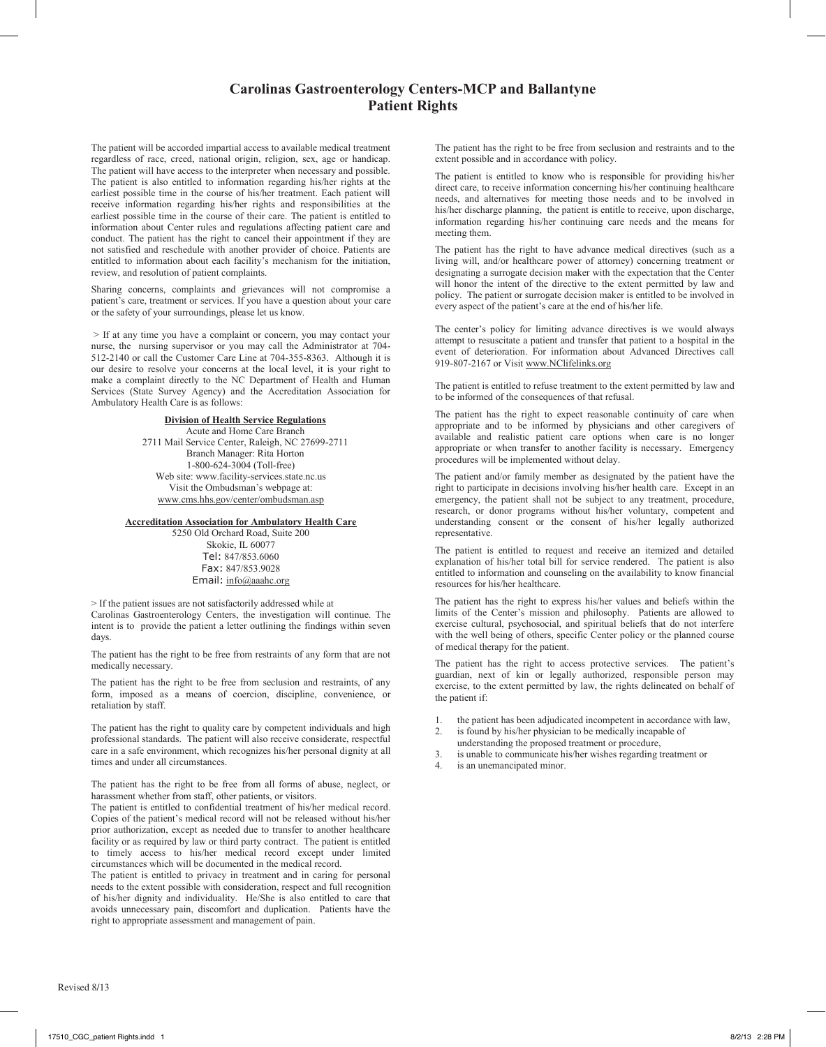## **Carolinas Gastroenterology Centers-MCP and Ballantyne Patient Rights**

The patient will be accorded impartial access to available medical treatment regardless of race, creed, national origin, religion, sex, age or handicap. The patient will have access to the interpreter when necessary and possible. The patient is also entitled to information regarding his/her rights at the earliest possible time in the course of his/her treatment. Each patient will receive information regarding his/her rights and responsibilities at the earliest possible time in the course of their care. The patient is entitled to information about Center rules and regulations affecting patient care and conduct. The patient has the right to cancel their appointment if they are not satisfied and reschedule with another provider of choice. Patients are entitled to information about each facility's mechanism for the initiation, review, and resolution of patient complaints.

Sharing concerns, complaints and grievances will not compromise a patient's care, treatment or services. If you have a question about your care or the safety of your surroundings, please let us know.

> If at any time you have a complaint or concern, you may contact your nurse, the nursing supervisor or you may call the Administrator at 704- 512-2140 or call the Customer Care Line at 704-355-8363. Although it is our desire to resolve your concerns at the local level, it is your right to make a complaint directly to the NC Department of Health and Human Services (State Survey Agency) and the Accreditation Association for Ambulatory Health Care is as follows:

> **Division of Health Service Regulations** Acute and Home Care Branch 2711 Mail Service Center, Raleigh, NC 27699-2711 Branch Manager: Rita Horton 1-800-624-3004 (Toll-free) Web site: www.facility-services.state.nc.us Visit the Ombudsman's webpage at: www.cms.hhs.gov/center/ombudsman.asp

**Accreditation Association for Ambulatory Health Care**

5250 Old Orchard Road, Suite 200 Skokie, IL 60077 Tel: 847/853.6060 Fax: 847/853.9028 Email: info@aaahc.org

> If the patient issues are not satisfactorily addressed while at Carolinas Gastroenterology Centers, the investigation will continue. The intent is to provide the patient a letter outlining the findings within seven days.

The patient has the right to be free from restraints of any form that are not medically necessary.

The patient has the right to be free from seclusion and restraints, of any form, imposed as a means of coercion, discipline, convenience, or retaliation by staff.

The patient has the right to quality care by competent individuals and high professional standards. The patient will also receive considerate, respectful care in a safe environment, which recognizes his/her personal dignity at all times and under all circumstances.

The patient has the right to be free from all forms of abuse, neglect, or harassment whether from staff, other patients, or visitors.

The patient is entitled to confidential treatment of his/her medical record. Copies of the patient's medical record will not be released without his/her prior authorization, except as needed due to transfer to another healthcare facility or as required by law or third party contract. The patient is entitled to timely access to his/her medical record except under limited circumstances which will be documented in the medical record.

The patient is entitled to privacy in treatment and in caring for personal needs to the extent possible with consideration, respect and full recognition of his/her dignity and individuality. He/She is also entitled to care that avoids unnecessary pain, discomfort and duplication. Patients have the right to appropriate assessment and management of pain.

The patient has the right to be free from seclusion and restraints and to the extent possible and in accordance with policy.

The patient is entitled to know who is responsible for providing his/her direct care, to receive information concerning his/her continuing healthcare needs, and alternatives for meeting those needs and to be involved in his/her discharge planning, the patient is entitle to receive, upon discharge, information regarding his/her continuing care needs and the means for meeting them.

The patient has the right to have advance medical directives (such as a living will, and/or healthcare power of attorney) concerning treatment or designating a surrogate decision maker with the expectation that the Center will honor the intent of the directive to the extent permitted by law and policy. The patient or surrogate decision maker is entitled to be involved in every aspect of the patient's care at the end of his/her life.

The center's policy for limiting advance directives is we would always attempt to resuscitate a patient and transfer that patient to a hospital in the event of deterioration. For information about Advanced Directives call 919-807-2167 or Visit www.NClifelinks.org

The patient is entitled to refuse treatment to the extent permitted by law and to be informed of the consequences of that refusal. Ì

The patient has the right to expect reasonable continuity of care when appropriate and to be informed by physicians and other caregivers of available and realistic patient care options when care is no longer appropriate or when transfer to another facility is necessary. Emergency procedures will be implemented without delay.

The patient and/or family member as designated by the patient have the right to participate in decisions involving his/her health care. Except in an emergency, the patient shall not be subject to any treatment, procedure, research, or donor programs without his/her voluntary, competent and understanding consent or the consent of his/her legally authorized representative.

The patient is entitled to request and receive an itemized and detailed explanation of his/her total bill for service rendered. The patient is also entitled to information and counseling on the availability to know financial resources for his/her healthcare.

The patient has the right to express his/her values and beliefs within the limits of the Center's mission and philosophy. Patients are allowed to exercise cultural, psychosocial, and spiritual beliefs that do not interfere with the well being of others, specific Center policy or the planned course of medical therapy for the patient.

The patient has the right to access protective services. The patient's guardian, next of kin or legally authorized, responsible person may exercise, to the extent permitted by law, the rights delineated on behalf of the patient if:

- 1. the patient has been adjudicated incompetent in accordance with law,<br>2. is found by his/her physician to be medically incapable of
- is found by his/her physician to be medically incapable of understanding the proposed treatment or procedure,
- 3. is unable to communicate his/her wishes regarding treatment or
- 4. is an unemancipated minor.